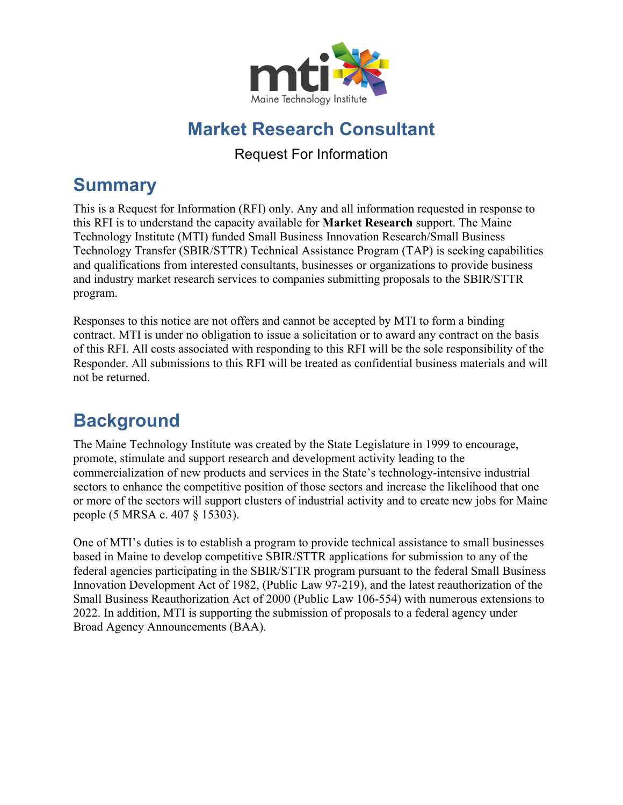

## **Market Research Consultant**

Request For Information

## **Summary**

This is a Request for Information (RFI) only. Any and all information requested in response to this RFI is to understand the capacity available for **Market Research** support. The Maine Technology Institute (MTI) funded Small Business Innovation Research/Small Business Technology Transfer (SBIR/STTR) Technical Assistance Program (TAP) is seeking capabilities and qualifications from interested consultants, businesses or organizations to provide business and industry market research services to companies submitting proposals to the SBIR/STTR program.

Responses to this notice are not offers and cannot be accepted by MTI to form a binding contract. MTI is under no obligation to issue a solicitation or to award any contract on the basis of this RFI. All costs associated with responding to this RFI will be the sole responsibility of the Responder. All submissions to this RFI will be treated as confidential business materials and will not be returned.

## **Background**

The Maine Technology Institute was created by the State Legislature in 1999 to encourage, promote, stimulate and support research and development activity leading to the commercialization of new products and services in the State's technology-intensive industrial sectors to enhance the competitive position of those sectors and increase the likelihood that one or more of the sectors will support clusters of industrial activity and to create new jobs for Maine people (5 MRSA c. 407 § 15303).

One of MTI's duties is to establish a program to provide technical assistance to small businesses based in Maine to develop competitive SBIR/STTR applications for submission to any of the federal agencies participating in the SBIR/STTR program pursuant to the federal Small Business Innovation Development Act of 1982, (Public Law 97-219), and the latest reauthorization of the Small Business Reauthorization Act of 2000 (Public Law 106-554) with numerous extensions to 2022. In addition, MTI is supporting the submission of proposals to a federal agency under Broad Agency Announcements (BAA).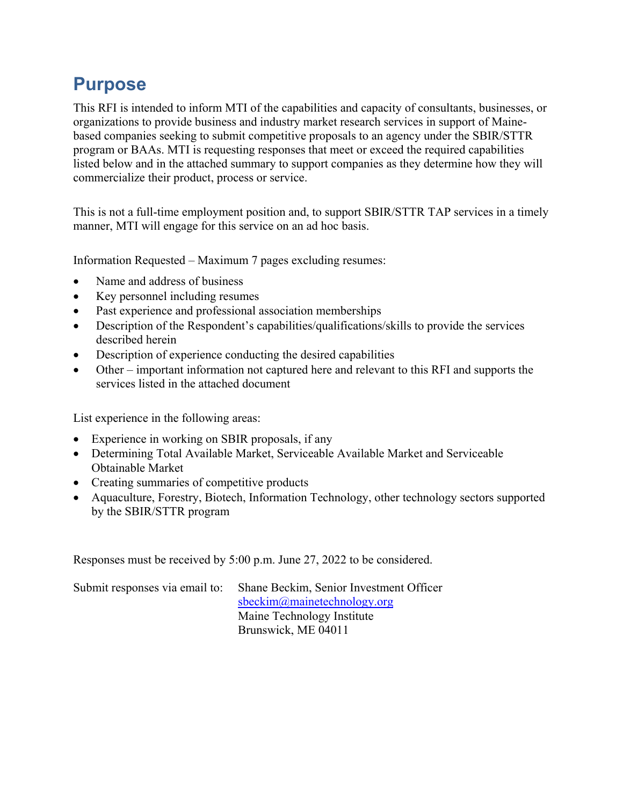## **Purpose**

This RFI is intended to inform MTI of the capabilities and capacity of consultants, businesses, or organizations to provide business and industry market research services in support of Mainebased companies seeking to submit competitive proposals to an agency under the SBIR/STTR program or BAAs. MTI is requesting responses that meet or exceed the required capabilities listed below and in the attached summary to support companies as they determine how they will commercialize their product, process or service.

This is not a full-time employment position and, to support SBIR/STTR TAP services in a timely manner, MTI will engage for this service on an ad hoc basis.

Information Requested – Maximum 7 pages excluding resumes:

- Name and address of business
- Key personnel including resumes
- Past experience and professional association memberships
- Description of the Respondent's capabilities/qualifications/skills to provide the services described herein
- Description of experience conducting the desired capabilities
- Other important information not captured here and relevant to this RFI and supports the services listed in the attached document

List experience in the following areas:

- Experience in working on SBIR proposals, if any
- Determining Total Available Market, Serviceable Available Market and Serviceable Obtainable Market
- Creating summaries of competitive products
- Aquaculture, Forestry, Biotech, Information Technology, other technology sectors supported by the SBIR/STTR program

Responses must be received by 5:00 p.m. June 27, 2022 to be considered.

Submit responses via email to: Shane Beckim, Senior Investment Officer

[sbeckim@mainetechnology.org](mailto:sbeckim@mainetechnology.org)  Maine Technology Institute Brunswick, ME 04011